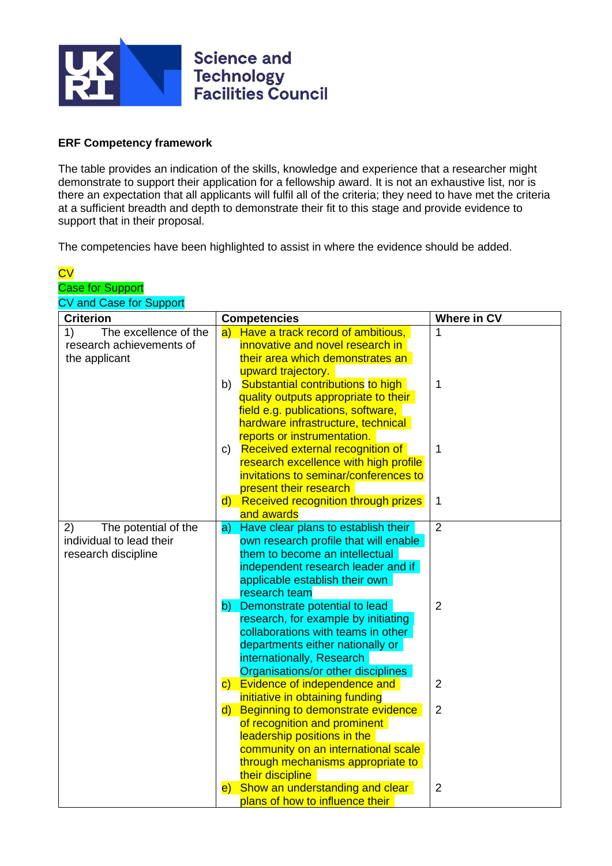

## **ERF Competency framework**

The table provides an indication of the skills, knowledge and experience that a researcher might demonstrate to support their application for a fellowship award. It is not an exhaustive list, nor is there an expectation that all applicants will fulfil all of the criteria; they need to have met the criteria at a sufficient breadth and depth to demonstrate their fit to this stage and provide evidence to support that in their proposal.

The competencies have been highlighted to assist in where the evidence should be added.

| $\overline{\text{cv}}$                                 |                                                                                    |                    |
|--------------------------------------------------------|------------------------------------------------------------------------------------|--------------------|
| <b>Case for Support</b>                                |                                                                                    |                    |
| <b>CV and Case for Support</b><br><b>Criterion</b>     |                                                                                    | <b>Where in CV</b> |
| The excellence of the<br>1)                            | <b>Competencies</b><br>a) Have a track record of ambitious,                        | 1                  |
| research achievements of                               | innovative and novel research in                                                   |                    |
| the applicant                                          | their area which demonstrates an                                                   |                    |
|                                                        | upward trajectory.                                                                 |                    |
|                                                        | Substantial contributions to high<br>b)                                            | 1                  |
|                                                        | quality outputs appropriate to their                                               |                    |
|                                                        | field e.g. publications, software,                                                 |                    |
|                                                        | hardware infrastructure, technical                                                 |                    |
|                                                        | reports or instrumentation.                                                        |                    |
|                                                        | c) Received external recognition of                                                | 1                  |
|                                                        | research excellence with high profile                                              |                    |
|                                                        | invitations to seminar/conferences to                                              |                    |
|                                                        | present their research                                                             |                    |
|                                                        | d) Received recognition through prizes                                             | 1                  |
|                                                        | and awards                                                                         | $\overline{2}$     |
| 2)<br>The potential of the<br>individual to lead their | Have clear plans to establish their<br>a)<br>own research profile that will enable |                    |
| research discipline                                    | them to become an intellectual                                                     |                    |
|                                                        | independent research leader and if                                                 |                    |
|                                                        | applicable establish their own                                                     |                    |
|                                                        | research team                                                                      |                    |
|                                                        | Demonstrate potential to lead<br>b)                                                | $\overline{2}$     |
|                                                        | research, for example by initiating                                                |                    |
|                                                        | collaborations with teams in other                                                 |                    |
|                                                        | departments either nationally or                                                   |                    |
|                                                        | internationally, Research                                                          |                    |
|                                                        | Organisations/or other disciplines<br>c) Evidence of independence and              | 2                  |
|                                                        | initiative in obtaining funding                                                    |                    |
|                                                        | Beginning to demonstrate evidence<br>$\mathsf{d}$                                  | $\overline{2}$     |
|                                                        | of recognition and prominent                                                       |                    |
|                                                        | leadership positions in the                                                        |                    |
|                                                        | community on an international scale                                                |                    |
|                                                        | through mechanisms appropriate to                                                  |                    |
|                                                        | their discipline                                                                   |                    |
|                                                        | Show an understanding and clear<br>$\vert e \rangle$                               | $\overline{2}$     |
|                                                        | plans of how to influence their                                                    |                    |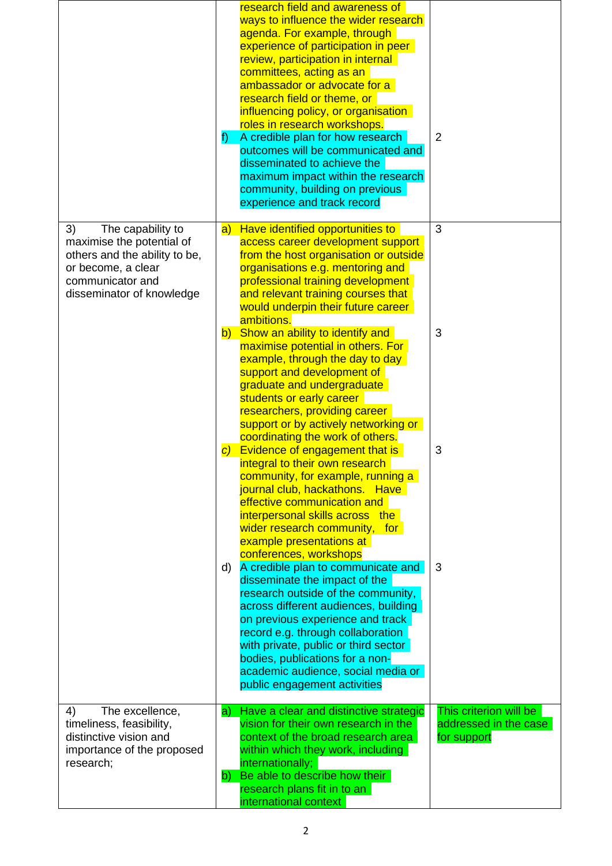|                                                                                                                                                              | research field and awareness of<br>ways to influence the wider research<br>agenda. For example, through<br>experience of participation in peer<br>review, participation in internal<br>committees, acting as an<br>ambassador or advocate for a<br>research field or theme, or<br>influencing policy, or organisation<br>roles in research workshops.<br>A credible plan for how research<br>f)<br>outcomes will be communicated and<br>disseminated to achieve the<br>maximum impact within the research<br>community, building on previous<br>experience and track record | $\overline{2}$                                                 |
|--------------------------------------------------------------------------------------------------------------------------------------------------------------|-----------------------------------------------------------------------------------------------------------------------------------------------------------------------------------------------------------------------------------------------------------------------------------------------------------------------------------------------------------------------------------------------------------------------------------------------------------------------------------------------------------------------------------------------------------------------------|----------------------------------------------------------------|
| 3)<br>The capability to<br>maximise the potential of<br>others and the ability to be,<br>or become, a clear<br>communicator and<br>disseminator of knowledge | Have identified opportunities to<br>$ {\bf a} $<br>access career development support<br>from the host organisation or outside<br>organisations e.g. mentoring and<br>professional training development<br>and relevant training courses that<br>would underpin their future career<br>ambitions.                                                                                                                                                                                                                                                                            | 3                                                              |
|                                                                                                                                                              | b) Show an ability to identify and<br>maximise potential in others. For<br>example, through the day to day<br>support and development of<br>graduate and undergraduate<br>students or early career<br>researchers, providing career<br>support or by actively networking or<br>coordinating the work of others.                                                                                                                                                                                                                                                             | 3                                                              |
|                                                                                                                                                              | Evidence of engagement that is<br>$\mathcal{C}$<br>integral to their own research<br>community, for example, running a<br>journal club, hackathons. Have<br>effective communication and<br>interpersonal skills across the<br>wider research community, for<br>example presentations at                                                                                                                                                                                                                                                                                     | 3                                                              |
|                                                                                                                                                              | conferences, workshops<br>A credible plan to communicate and<br>d)<br>disseminate the impact of the<br>research outside of the community,<br>across different audiences, building<br>on previous experience and track<br>record e.g. through collaboration<br>with private, public or third sector<br>bodies, publications for a non-<br>academic audience, social media or<br>public engagement activities                                                                                                                                                                 | 3                                                              |
| 4)<br>The excellence,<br>timeliness, feasibility,<br>distinctive vision and<br>importance of the proposed<br>research;                                       | a) Have a clear and distinctive strategic<br>vision for their own research in the<br>context of the broad research area<br>within which they work, including<br>internationally;<br>Be able to describe how their<br>b)<br>research plans fit in to an<br>international context                                                                                                                                                                                                                                                                                             | This criterion will be<br>addressed in the case<br>for support |